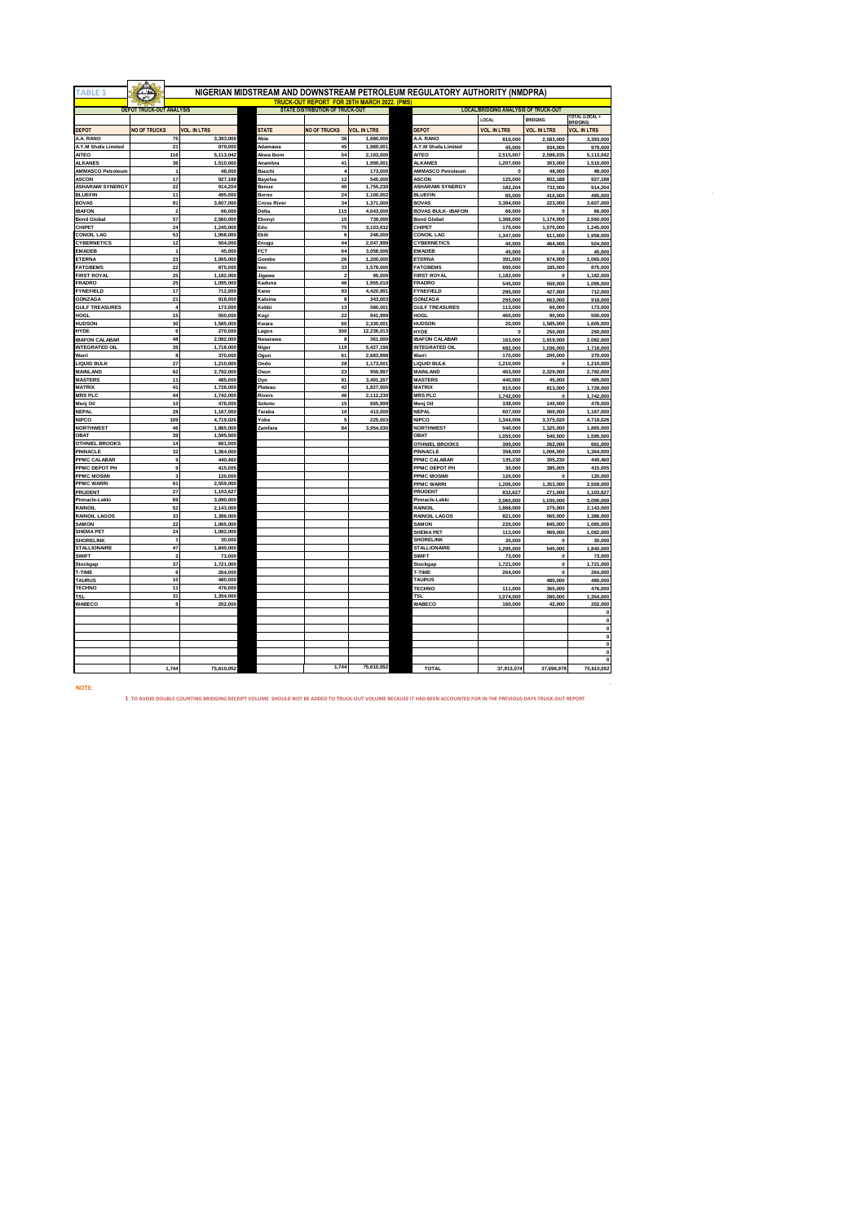| <b>TABLE 1</b>                  |                                 |                        |                                        |                                                    |                     | NIGERIAN MIDSTREAM AND DOWNSTREAM PETROLEUM REGULATORY AUTHORITY (NMDPRA) |                                             |                        |                        |
|---------------------------------|---------------------------------|------------------------|----------------------------------------|----------------------------------------------------|---------------------|---------------------------------------------------------------------------|---------------------------------------------|------------------------|------------------------|
|                                 |                                 |                        |                                        | <b>TRUCK-OUT REPORT FOR 28TH MARCH 2022. (PMS)</b> |                     |                                                                           |                                             |                        |                        |
|                                 | <b>DEPOT TRUCK-OUT ANALYSIS</b> |                        | <b>STATE DISTRIBUTION OF TRUCK-OUT</b> |                                                    |                     |                                                                           | <b>LOCAL/BRIDGING ANALYSIS OF TRUCK-OUT</b> |                        |                        |
|                                 |                                 |                        |                                        |                                                    |                     |                                                                           | LOCAL                                       | <b>BRIDGING</b>        | <b>TOTAL (LOCAL +</b>  |
|                                 |                                 |                        |                                        |                                                    |                     |                                                                           |                                             |                        | <b>BRIDGING</b>        |
| <b>DEPOT</b>                    | <b>NO OF TRUCKS</b>             | <b>VOL. IN LTRS</b>    | <b>STATE</b>                           | <b>NO OF TRUCKS</b>                                | <b>VOL. IN LTRS</b> | <b>DEPOT</b>                                                              | <b>VOL. IN LTRS</b>                         | <b>VOL. IN LTRS</b>    | <b>VOL. IN LTRS</b>    |
| A.A. RANO                       | 75                              | 3,393,000              | Abia                                   | 36                                                 | 1,680,000           | A.A. RANO                                                                 | 810,000                                     | 2,583,000              | 3,393,000              |
| A.Y.M Shafa Limited             | 21                              | 979,000                | Adamawa                                | 45                                                 | 1,989,001           | A.Y.M Shafa Limited                                                       | 45,000                                      | 934,000                | 979,000                |
| <b>AITEO</b>                    | 116                             | 5,113,042              | Akwa Ibom                              | 54                                                 | 2,193,000           | <b>AITEO</b>                                                              | 2,515,007                                   | 2,598,035              | 5,113,042              |
| <b>ALKANES</b>                  | 36                              | 1,510,000              | Anambra                                | 41                                                 | 1,999,001           | <b>ALKANES</b>                                                            | 1,207,000                                   | 303,000                | 1,510,000              |
| <b>AMMASCO Petroleur</b>        | ł                               | 48,000                 | Bauchi                                 | Ă                                                  | 173,000             | AMMASCO Petroleum                                                         | $\Omega$                                    | 48,000                 | 48,000                 |
| <b>ASCON</b>                    | 17                              | 927,188                | <b>Bayelsa</b>                         | 12                                                 | 545,000             | <b>ASCON</b>                                                              | 125,000                                     | 802,188                | 927,188                |
| <b>ASHARAMI SYNERGY</b>         | 22                              | 914,204                | Benue                                  | 40                                                 | 1,755,230           | ASHARAMI SYNERGY                                                          | 182.204                                     | 732,000                | 914,204                |
| <b>BLUEFIN</b>                  | 11                              | 495,000                | Borno                                  | 24                                                 | 1.100.002           | <b>BLUEFIN</b>                                                            | 85,000                                      | 410,000                | 495,000                |
| <b>BOVAS</b>                    | 91                              | 3,607,000              | <b>Cross River</b>                     | 34                                                 | 1,371,000           | <b>BOVAS</b>                                                              | 3,384,000                                   | 223,000                | 3,607,000              |
| <b>IBAFON</b>                   | $\overline{2}$                  | 66,000                 | Delta                                  | 115                                                | 4,643,000           | <b>BOVAS BULK- IBAFON</b>                                                 | 66,000                                      | o                      | 66,000                 |
| <b>Bond Global</b>              | 57                              | 2,560,000              | Ebony                                  | 15                                                 | 739,000             | <b>Bond Global</b>                                                        | 1,386,000                                   | 1,174,000              | 2,560,000              |
| CHIPET                          | 24                              | 1,245,000              | Edo                                    | 75                                                 | 3,103,632           | CHIPET                                                                    | 175,000                                     | 1,070,000              | 1,245,000              |
| <b>CONOIL LAG</b>               | 53                              | 1,958,000              | Ekiti                                  | 6                                                  | 248,000             | <b>CONOIL LAG</b>                                                         | 1,347,000                                   | 611,000                | 1,958,000              |
| CYBERNETICS                     | 12                              | 504,000                | Enugu                                  | 44                                                 | 2,047,999           | CYBERNETICS                                                               | 40,000                                      | 464,000                | 504,000                |
| <b>EMADEB</b>                   | $\overline{1}$                  | 45,000                 | FCT                                    | 64                                                 | 3,058,506           | <b>EMADEB</b>                                                             | 45,000                                      | $\Omega$               | 45,000                 |
| ETERNA                          | 23                              | 1,065,000              | <b>Gombe</b>                           | 26                                                 | 1,200,000           | <b>ETERNA</b>                                                             | 391,000                                     | 674,000                | 1,065,000              |
| <b>FATGBEMS</b>                 | 22                              | 875,000                | <b>Imo</b>                             | 33                                                 | 1,578,000           | <b>FATGBEMS</b>                                                           | 690,000                                     | 185,000                | 875,000                |
| <b>FIRST ROYAL</b>              | 25                              | 1,182,000              | Jigawa                                 | $\overline{\mathbf{2}}$                            | 95,000              | <b>FIRST ROYAL</b>                                                        | 1,182,000                                   | $\Omega$               | 1,182,000              |
| FRADRO                          | 25                              | 1,095,000              | Kaduna                                 | 46                                                 | 1,955,010           | <b>FRADRO</b>                                                             | 545,000                                     | 550,000                | 1,095,000              |
| <b>FYNEFIELD</b>                | 17                              | 712,000                | Kano                                   | 93                                                 | 4,420,991           | <b>FYNEFIELD</b>                                                          | 285,000                                     | 427,000                | 712,000                |
| GONZAGA                         | 21                              | 918,000                | Katsina                                | 8                                                  | 343,003             | GONZAGA                                                                   | 255,000                                     | 663,000                | 918,000                |
| <b>GULF TREASURES</b>           | $\ddot{4}$                      | 173,000                | Kebbi                                  | 13                                                 | 580,001             | <b>GULF TREASURES</b>                                                     | 113,000                                     | 60,000                 | 173,000                |
| HOGL                            | 15                              | 550,000                | Kogi                                   | 22                                                 | 941,999             | HOGL                                                                      | 460,000                                     | 90,000                 | 550,000                |
| <b>HUDSON</b>                   | 30                              | 1,585,000              | Kwara                                  | 60                                                 | 2,330,001           | <b>HUDSON</b>                                                             | 20,000                                      | 1,585,000              | 1,605,000              |
| <b>HYDE</b>                     | 6                               | 270,000                | Lagos                                  | 300                                                | 12,236,013          | <b>HYDE</b>                                                               |                                             | 250,000                | 250,000                |
| <b>IBAFON CALABAR</b>           | 48                              | 2,082,000              | Nasarawa                               | 8                                                  | 361,000             | <b>IBAFON CALABAR</b>                                                     | 163,000                                     | 1,919,000              | 2,082,000              |
| <b>INTEGRATED OIL</b>           | 39                              | 1,718,000              | Niger                                  | 119                                                | 5,427,198           | <b>INTEGRATED OIL</b>                                                     | 682,000                                     | 1,036,000              | 1,718,000              |
| Warri                           | 8                               | 370,000                | Ogun                                   | 61                                                 | 2,683,998           | Warri                                                                     | 170,000                                     | 200,000                | 370,000                |
| <b>LIQUID BULK</b>              | 27                              | 1,210,000              | Ondo                                   | 28                                                 | 1,173,001           | <b>LIQUID BULK</b>                                                        | 1,210,000                                   | $\Omega$               | 1,210,000              |
| <b>MAINLAND</b>                 | 62                              | 2,792,000              | Osun                                   | 23                                                 | 950,997             | MAINLAND                                                                  | 463,000                                     | 2,329,000              | 2,792,000              |
| <b>MASTERS</b><br><b>MATRIX</b> | 11<br>41                        | 485,000                | Oyo                                    | 91<br>42                                           | 3,491,207           | <b>MASTERS</b><br><b>MATRIX</b>                                           | 440,000                                     | 45,000                 | 485,000                |
|                                 | 44                              | 1,728,000              | Plateau                                | 46                                                 | 1,827,000           | <b>MRS PLC</b>                                                            | 915,000                                     | 813,000                | 1,728,000              |
| <b>MRS PLC</b>                  |                                 | 1,742,000              | Rivers                                 |                                                    | 2,112,230           |                                                                           | 1,742,000                                   |                        | 1,742,000              |
| Menj Oil<br><b>NEPAL</b>        | 10<br>28                        | 478,000<br>1,167,000   | Sokoto<br>Taraba                       | 15<br>10                                           | 665,999             | Menj Oil<br>NEPAL                                                         | 338,000                                     | 140,000                | 478,000                |
| NIPCO                           | 109                             | 4,719,026              |                                        | 5                                                  | 413,000<br>225,003  | <b>NIPCO</b>                                                              | 607,000                                     | 560,000                | 1,167,000              |
| <b>NORTHWEST</b>                | 46                              | 1,865,000              | Yobe                                   | 84                                                 | 3,954,030           | <b>NORTHWEST</b>                                                          | 1,344,006<br>540,000                        | 3,375,020<br>1,325,000 | 4,719,026<br>1,865,000 |
| OBAT                            |                                 |                        | Zamfara                                |                                                    |                     | OBAT                                                                      |                                             |                        |                        |
| <b>OTHNIEL BROOKS</b>           | 39<br>14                        | 1,595,500<br>661,000   |                                        |                                                    |                     | <b>OTHNIEL BROOKS</b>                                                     | 1,055,000<br>399,000                        | 540,500<br>262,000     | 1,595,500<br>661,000   |
|                                 | 32                              | 1,364,000              |                                        |                                                    |                     |                                                                           |                                             |                        |                        |
| PINNACLE<br>PPMC CALABAR        | $\mathbf{a}$                    | 440,460                |                                        |                                                    |                     | PINNACLE<br>PPMC CALABAR                                                  | 358,000<br>135,230                          | 1,006,000<br>305,230   | 1,364,000<br>440,460   |
| PPMC DEPOT PH                   | 9                               | 415,005                |                                        |                                                    |                     | PPMC DEPOT PH                                                             | 30,000                                      | 385,005                | 415,005                |
| PPMC MOSIMI                     | 3                               | 120,000                |                                        |                                                    |                     | PPMC MOSIMI                                                               |                                             |                        |                        |
| <b>PPMC WARRI</b>               | 61                              | 2,559,000              |                                        |                                                    |                     |                                                                           | 120,000                                     | $\Omega$               | 120,000                |
| PRUDENT                         | 27                              |                        |                                        |                                                    |                     | <b>PPMC WARRI</b><br><b>PRUDENT</b>                                       | 1,206,000                                   | 1,353,000              | 2,559,000              |
| Pinnacle-Lekki                  | 69                              | 1,103,627<br>3,090,000 |                                        |                                                    |                     | Pinnacle-Lekki                                                            | 832,627                                     | 271,000                | 1,103,627              |
| <b>RAINOIL</b>                  | 52                              | 2,143,000              |                                        |                                                    |                     | RAINOIL                                                                   | 2,060,000<br>1,868,000                      | 1,030,000<br>275,000   | 3,090,000<br>2,143,000 |
| <b>RAINOIL LAGOS</b>            | 33                              | 1,386,000              |                                        |                                                    |                     | RAINOIL LAGOS                                                             | 821,000                                     | 565,000                | 1,386,000              |
| SAMON                           | 22                              | 1,065,000              |                                        |                                                    |                     | <b>SAMON</b>                                                              | 220,000                                     | 845,000                | 1,065,000              |
| <b>SHEMA PET</b>                | 24                              | 1,082,000              |                                        |                                                    |                     | <b>SHEMA PET</b>                                                          | 113,000                                     | 969,000                | 1,082,000              |
| <b>SHORELINK</b>                | ł                               | 30,000                 |                                        |                                                    |                     | <b>SHORELINK</b>                                                          | 30,000                                      | $\Omega$               | 30,000                 |
| <b>STALLIONAIRE</b>             | 47                              | 1,840,000              |                                        |                                                    |                     | <b>STALLIONAIRE</b>                                                       | 1,295,000                                   | 545,000                | 1,840,000              |
| <b>SWIFT</b>                    | $\overline{2}$                  | 73,000                 |                                        |                                                    |                     | <b>SWIFT</b>                                                              | 73,000                                      | 0                      | 73,000                 |
| Stockgap                        | 37                              | 1,721,000              |                                        |                                                    |                     |                                                                           | 1,721,000                                   | $\mathbf{0}$           | 1,721,000              |
| T-TIME                          | 6                               | 264,000                |                                        |                                                    |                     | Stockgap<br>T-TIME                                                        |                                             | O                      |                        |
| <b>TAURUS</b>                   | 10                              | 480,000                |                                        |                                                    |                     | <b>TAURUS</b>                                                             | 264,000                                     | 480,000                | 264,000<br>480,000     |
| <b>TECHNO</b>                   | 11                              | 476,000                |                                        |                                                    |                     | TECHNO                                                                    | 111,000                                     |                        | 476,000                |
|                                 | 31                              | 1,354,000              |                                        |                                                    |                     | <b>TSL</b>                                                                |                                             | 365,000                |                        |
| TSL<br>WABECO                   | s,                              | 202,000                |                                        |                                                    |                     | WABECO                                                                    | 1,074,000<br>160,000                        | 280,000<br>42,000      | 1,354,000<br>202,000   |
|                                 |                                 |                        |                                        |                                                    |                     |                                                                           |                                             |                        |                        |
|                                 |                                 |                        |                                        |                                                    |                     |                                                                           |                                             |                        | o<br>$\mathbf{0}$      |
|                                 |                                 |                        |                                        |                                                    |                     |                                                                           |                                             |                        | $\mathbf{0}$           |
|                                 |                                 |                        |                                        |                                                    |                     |                                                                           |                                             |                        | $\mathbf{0}$           |
|                                 |                                 |                        |                                        |                                                    |                     |                                                                           |                                             |                        | $\pmb{0}$              |
|                                 |                                 |                        |                                        |                                                    |                     |                                                                           |                                             |                        | o                      |
|                                 |                                 |                        |                                        |                                                    |                     |                                                                           |                                             |                        | $\pmb{0}$              |
|                                 | 1,744                           | 75,610,052             |                                        | 1,744                                              | 75,610,052          | <b>TOTAL</b>                                                              | 37,913,074                                  | 37,696,978             | 75,610,052             |
|                                 |                                 |                        |                                        |                                                    |                     |                                                                           |                                             |                        |                        |

**NOTE:** 

**1 TO AVOID DOUBLE COUNTING BRIDGING RECEIPT VOLUME SHOULD NOT BE ADDED TO TRUCK-OUT VOLUME BECAUSE IT HAD BEEN ACCOUNTED FOR IN THE PREVIOUS DAYS TRUCK-OUT REPORT**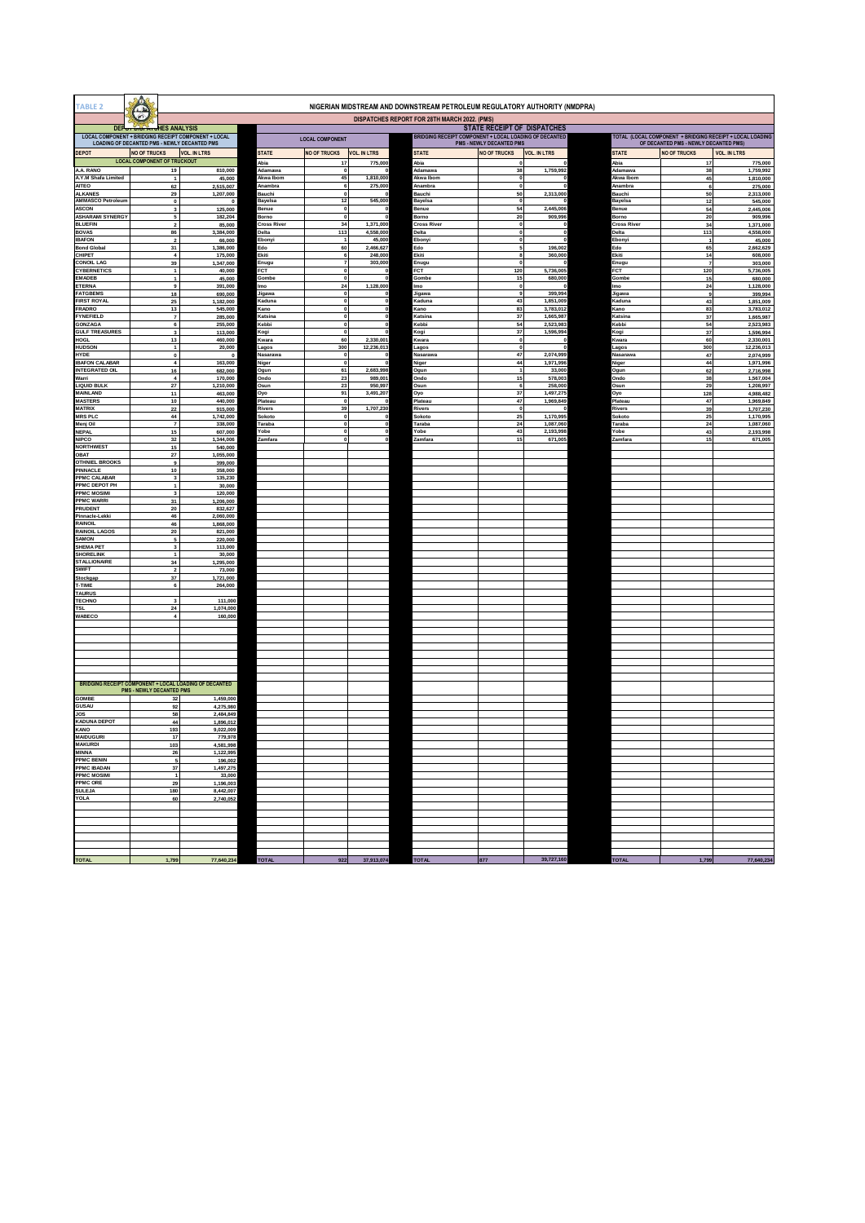| <b>TABLE 2</b>                           |                                                                                                      |                                                               |                             |                              |                        | NIGERIAN MIDSTREAM AND DOWNSTREAM PETROLEUM REGULATORY AUTHORITY (NMDPRA) |                                 |                        |                      |                                       |                                                           |
|------------------------------------------|------------------------------------------------------------------------------------------------------|---------------------------------------------------------------|-----------------------------|------------------------------|------------------------|---------------------------------------------------------------------------|---------------------------------|------------------------|----------------------|---------------------------------------|-----------------------------------------------------------|
|                                          | P)                                                                                                   |                                                               |                             |                              |                        | DISPATCHES REPORT FOR 28TH MARCH 2022. (PMS)                              |                                 |                        |                      |                                       |                                                           |
|                                          | DEP <sub>OT DISTATU</sub> HES ANALYSIS                                                               |                                                               |                             |                              |                        |                                                                           | STATE RECEIPT OF DISPATCHES     |                        |                      |                                       |                                                           |
|                                          | LOCAL COMPONENT + BRIDGING RECEIPT COMPONENT + LOCAL<br>LOADING OF DECANTED PMS - NEWLY DECANTED PMS |                                                               | <b>LOCAL COMPONENT</b>      |                              |                        | BRIDGING RECEIPT COMPONENT + LOCAL LOADING OF DECANTED                    | <b>PMS - NEWLY DECANTED PMS</b> |                        |                      | OF DECANTED PMS - NEWLY DECANTED PMS) | TOTAL (LOCAL COMPONENT + BRIDGING RECEIPT + LOCAL LOADING |
| <b>DEPOT</b>                             | <b>NO OF TRUCKS</b>                                                                                  | <b>VOL. IN LTRS</b>                                           | STATE                       | <b>NO OF TRUCKS</b>          | <b>VOL. IN LTRS</b>    | <b>STATE</b>                                                              | <b>NO OF TRUCKS</b>             | <b>VOL. IN LTRS</b>    | <b>STATE</b>         | <b>NO OF TRUCKS</b>                   | <b>VOL. IN LTRS</b>                                       |
|                                          | <b>LOCAL COMPONENT OF TRUCKOUT</b>                                                                   |                                                               | Abia                        | 17                           | 775,000                | Abia                                                                      | $\mathbf 0$                     |                        | Abia                 | 17                                    | 775,000                                                   |
| A.A. RANO                                | 19                                                                                                   | 810,000                                                       | Adamawa                     | $\mathbf{0}$                 |                        | Adamawa                                                                   | 38                              | 1,759,992              | Adamawa              | 38                                    | 1,759,992                                                 |
| A.Y.M Shafa Limited<br><b>AITEO</b>      | $\mathbf{1}$<br>62                                                                                   | 45,000<br>2,515,007                                           | Akwa Ibom<br>Anambra        | 45<br>$\,$ 6                 | 1,810,000<br>275,000   | Akwa Ibom<br>Anambra                                                      | $\mathbf 0$<br>$\mathbf 0$      |                        | Akwa Ibom<br>Anambra | 45<br>6                               | 1,810,000<br>275,000                                      |
| <b>ALKANES</b>                           | 29                                                                                                   | 1,207,000                                                     | Bauchi                      | $\mathbf{0}$                 |                        | Bauchi                                                                    | 50                              | 2,313,000              | Bauchi               | 50                                    | 2,313,000                                                 |
| <b>AMMASCO Petroleum</b><br><b>ASCON</b> | $\pmb{0}$<br>$\mathbf 3$                                                                             | 0<br>125,000                                                  | Bayelsa<br>Benue            | $12$<br>$\pmb{0}$            | 545,000<br>$\epsilon$  | Bayelsa<br>Benue                                                          | $\mathbf 0$<br>54               | 2,445,006              | Bayelsa<br>Benue     | 12<br>54                              | 545,000<br>2,445,006                                      |
| <b>ASHARAMI SYNERGY</b>                  | 5                                                                                                    | 182,204                                                       | Borno                       | $\mathbf 0$                  |                        | Borno                                                                     | 20                              | 909,996                | Borno                | 20                                    | 909,996                                                   |
| <b>BLUEFIN</b><br><b>BOVAS</b>           | $\overline{\mathbf{2}}$<br>86                                                                        | 85,000<br>3,384,000                                           | <b>Cross River</b><br>Delta | 34<br>113                    | 1,371,000<br>4,558,000 | Cross River<br>Delta                                                      | $\mathbf 0$<br>$\mathbf 0$      | -0                     | Cross River<br>Delta | 34<br>113                             | 1,371,000<br>4,558,000                                    |
| <b>IBAFON</b>                            | $\mathbf 2$                                                                                          | 66,000                                                        | Ebonyi                      | $\overline{1}$               | 45,000                 | Ebonyi                                                                    | $\mathbf 0$                     | $\mathbf{0}$           | Ebonyi               | $\overline{1}$                        | 45,000                                                    |
| <b>Bond Global</b><br>CHIPET             | 31<br>$\overline{\mathbf{4}}$                                                                        | 1,386,000<br>175,000                                          | Edo<br>Ekiti                | 60<br>6                      | 2,466,627<br>248,000   | -do<br>Ekiti                                                              | 5<br>8                          | 196,002<br>360,000     | Edo<br>Ekiti         | 65<br>14                              | 2,662,629<br>608,000                                      |
| CONOIL LAG                               | 39                                                                                                   | 1.347.000                                                     | Enugu                       |                              | 303,000                | Enugu                                                                     | $\mathbf 0$                     |                        | Enugu                |                                       | 303,000                                                   |
| CYBERNETICS<br>EMADEB                    | $\,$ 1 $\,$<br>$\mathbf{1}$                                                                          | 40,000<br>45,000                                              | FCT<br>Gombe                | $\mathbf{0}$<br>$\mathbf{0}$ |                        | FCT<br>Gombe                                                              | 120<br>15                       | 5,736,005<br>680,000   | FCT<br>Gombe         | 120<br>15                             | 5,736,005<br>680,000                                      |
| ETERNA                                   | $\boldsymbol{9}$                                                                                     | 391,000                                                       | lmo                         | ${\bf 24}$                   | 1,128,000              | mo                                                                        | $\mathbf 0$                     |                        | lmo                  | 24                                    | 1,128,000                                                 |
| <b>FATGBEMS</b>                          | 18                                                                                                   | 690,000                                                       | Jigawa                      | $\Omega$                     |                        | Jigawa                                                                    | 9                               | 399,994                | Jigawa               | 9                                     | 399,994                                                   |
| <b>FIRST ROYAL</b><br><b>FRADRO</b>      | $25\,$<br>$13\,$                                                                                     | 1,182,000<br>545,000                                          | Kaduna<br>Kano              | $\mathbf{0}$<br>$\mathbf{0}$ |                        | <b>Saduna</b><br>Kano                                                     | 43<br>83                        | 1,851,009<br>3.783,012 | Kaduna<br>Kano       | 43<br>83                              | 1,851,009<br>3,783,012                                    |
| FYNEFIELD                                | $\overline{7}$                                                                                       | 285,000                                                       | Katsina                     | $\pmb{0}$                    |                        | Katsina                                                                   | 37                              | 1,665,987              | Katsina              | 37                                    | 1,665,987                                                 |
| <b>GONZAGA</b><br><b>GULF TREASURES</b>  | 6<br>$\mathbf 3$                                                                                     | 255,000<br>113,000                                            | Kebbi<br>Kogi               | $\mathbf{0}$<br>$\pmb{0}$    |                        | <b>Cebbi</b><br>(ogi                                                      | 54<br>37                        | 2.523.983<br>1,596,994 | Kebbi<br>Kogi        | 54<br>37                              | 2,523,983<br>1,596,994                                    |
| HOGL                                     | 13                                                                                                   | 460,000                                                       | Kwara                       | 60                           | 2,330,001              | (wara                                                                     | $\mathbf{o}$                    | -0                     | Kwara                | 60                                    | 2,330,001                                                 |
| HUDSON<br><b>HYDE</b>                    | $\mathbf{1}$<br>$\mathbf 0$                                                                          | 20,000<br>$\bullet$                                           | Lagos<br>Nasarawa           | 300<br>$\mathbf{0}$          | 12,236,013             | agos<br>Vasarawa                                                          | $\circ$<br>47                   | 2.074.999              | Lagos<br>Nasarawa    | 300<br>47                             | 12,236,013<br>2,074,999                                   |
| <b>BAFON CALABAR</b>                     | $\boldsymbol{4}$                                                                                     | 163,000                                                       | Niger                       | $\mathbf 0$                  |                        | Viger                                                                     | 44                              | 1,971,996              | Niger                | $\bf{44}$                             | 1,971,996                                                 |
| <b>INTEGRATED OIL</b><br>Warri           | 16<br>$\boldsymbol{4}$                                                                               | 682,000<br>170,000                                            | Ogun<br>Ondo                | 61<br>23                     | 2.683.998<br>989,001   | Dgun<br>Ondo                                                              | $\overline{1}$<br>15            | 33,000<br>578,003      | Ogun<br>Ondo         | 62<br>38                              | 2,716,998<br>1,567,004                                    |
| <b>LIQUID BULK</b>                       | 27                                                                                                   | 1,210,000                                                     | <b>Osun</b>                 | 23                           | 950,997                | Dsun                                                                      | 6                               | 258,000                | Osun                 | 29                                    | 1,208,997                                                 |
| <b>MAINLAND</b><br><b>MASTERS</b>        | 11<br>$10\,$                                                                                         | 463,000<br>440,000                                            | Oyo<br>Plateau              | 91<br>$\bf{0}$               | 3,491,207              | Dyo<br>Plateau                                                            | 37<br>47                        | 1,497,275<br>1,969,849 | Oyo<br>Plateau       | 128<br>47                             | 4,988,482<br>1,969,849                                    |
| <b>MATRIX</b>                            | 22                                                                                                   | 915,000                                                       | Rivers                      | 39                           | 1,707,230              | Rivers                                                                    | $\mathbf 0$                     |                        | Rivers               | 39                                    | 1,707,230                                                 |
| <b>MRS PLC</b><br>Menj Oil               | 44                                                                                                   | 1,742,000                                                     | Sokoto<br>Taraba            | $\pmb{0}$<br>$\mathbf 0$     |                        | Sokoto<br>'araba                                                          | 25                              | 1,170,995<br>1,087,060 | šokoto<br>Taraba     | 25                                    | 1,170,995                                                 |
| NEPAL                                    | $\overline{7}$<br>$15\,$                                                                             | 338,000<br>607,000                                            | obe)                        | $\mathbf{0}$                 |                        | obe)                                                                      | 24<br>43                        | 2,193,998              | obe                  | 24<br>43                              | 1,087,060<br>2,193,998                                    |
| <b>NIPCO</b>                             | 32                                                                                                   | 1,344,006                                                     | Zamfara                     |                              |                        | Zamfara                                                                   | 15                              | 671,005                | Zamfara              | 15                                    | 671,005                                                   |
| <b>NORTHWEST</b><br>OBAT                 | 15<br>$\bf 27$                                                                                       | 540,000<br>1,055,000                                          |                             |                              |                        |                                                                           |                                 |                        |                      |                                       |                                                           |
| <b>OTHNIEL BROOKS</b>                    | $\pmb{9}$                                                                                            | 399,000                                                       |                             |                              |                        |                                                                           |                                 |                        |                      |                                       |                                                           |
| PINNACLE<br>PPMC CALABAR                 | 10<br>$\overline{\mathbf{3}}$                                                                        | 358,000<br>135,230                                            |                             |                              |                        |                                                                           |                                 |                        |                      |                                       |                                                           |
| PPMC DEPOT PH                            | $\mathbf{1}$                                                                                         | 30,000                                                        |                             |                              |                        |                                                                           |                                 |                        |                      |                                       |                                                           |
| <b>PPMC MOSIMI</b><br><b>PPMC WARRI</b>  | $\overline{\mathbf{3}}$<br>31                                                                        | 120,000<br>1,206,000                                          |                             |                              |                        |                                                                           |                                 |                        |                      |                                       |                                                           |
| PRUDENT                                  | ${\bf 20}$                                                                                           | 832,627                                                       |                             |                              |                        |                                                                           |                                 |                        |                      |                                       |                                                           |
| Pinnacle-Lekki<br>RAINOIL                | 46<br>46                                                                                             | 2,060,000<br>1,868,000                                        |                             |                              |                        |                                                                           |                                 |                        |                      |                                       |                                                           |
| <b>RAINOIL LAGOS</b>                     | 20                                                                                                   | 821,000                                                       |                             |                              |                        |                                                                           |                                 |                        |                      |                                       |                                                           |
| <b>SAMON</b><br><b>SHEMA PET</b>         | 5<br>$\overline{\mathbf{3}}$                                                                         | 220,000<br>113,000                                            |                             |                              |                        |                                                                           |                                 |                        |                      |                                       |                                                           |
| <b>SHORELINK</b>                         | $\overline{1}$                                                                                       | 30,000                                                        |                             |                              |                        |                                                                           |                                 |                        |                      |                                       |                                                           |
| <b>STALLIONAIRE</b><br>SWIFT             | 34<br>$\mathbf 2$                                                                                    | 1,295,000<br>73,000                                           |                             |                              |                        |                                                                           |                                 |                        |                      |                                       |                                                           |
| Stockgap                                 | 37                                                                                                   | 1,721,000                                                     |                             |                              |                        |                                                                           |                                 |                        |                      |                                       |                                                           |
| <b>-TIME</b><br><b>TAURUS</b>            | 6                                                                                                    | 264,000                                                       |                             |                              |                        |                                                                           |                                 |                        |                      |                                       |                                                           |
| <b>TECHNO</b>                            | $\overline{\mathbf{3}}$                                                                              | 111,000                                                       |                             |                              |                        |                                                                           |                                 |                        |                      |                                       |                                                           |
| TSL<br>WABECO                            | ${\bf 24}$<br>$\overline{4}$                                                                         | 1,074,000<br>160,000                                          |                             |                              |                        |                                                                           |                                 |                        |                      |                                       |                                                           |
|                                          |                                                                                                      |                                                               |                             |                              |                        |                                                                           |                                 |                        |                      |                                       |                                                           |
|                                          |                                                                                                      |                                                               |                             |                              |                        |                                                                           |                                 |                        |                      |                                       |                                                           |
|                                          |                                                                                                      |                                                               |                             |                              |                        |                                                                           |                                 |                        |                      |                                       |                                                           |
|                                          |                                                                                                      |                                                               |                             |                              |                        |                                                                           |                                 |                        |                      |                                       |                                                           |
|                                          |                                                                                                      |                                                               |                             |                              |                        |                                                                           |                                 |                        |                      |                                       |                                                           |
|                                          |                                                                                                      | <b>BRIDGING RECEIPT COMPONENT + LOCAL LOADING OF DECANTED</b> |                             |                              |                        |                                                                           |                                 |                        |                      |                                       |                                                           |
|                                          | <b>PMS - NEWLY DECANTED PMS</b>                                                                      |                                                               |                             |                              |                        |                                                                           |                                 |                        |                      |                                       |                                                           |
| GOMBE<br><b>GUSAU</b>                    | 32<br>92                                                                                             | 1.459,000<br>4,275,980                                        |                             |                              |                        |                                                                           |                                 |                        |                      |                                       |                                                           |
| JOS                                      | 58                                                                                                   | 2.484.849                                                     |                             |                              |                        |                                                                           |                                 |                        |                      |                                       |                                                           |
| KADUNA DEPOT<br>KANO                     | 44<br>193                                                                                            | 1,896,012<br>9,022,009                                        |                             |                              |                        |                                                                           |                                 |                        |                      |                                       |                                                           |
| <b>IAIDUGUR</b>                          |                                                                                                      | 779,97                                                        |                             |                              |                        |                                                                           |                                 |                        |                      |                                       |                                                           |
| <b>MAKURDI</b><br>MINNA                  | 103<br>26                                                                                            | 4,581,998<br>1,122,995                                        |                             |                              |                        |                                                                           |                                 |                        |                      |                                       |                                                           |
| <b>PPMC BENIN</b>                        | 5                                                                                                    | 196,002                                                       |                             |                              |                        |                                                                           |                                 |                        |                      |                                       |                                                           |
| <b>PPMC IBADAN</b><br><b>PPMC MOSIMI</b> | 37<br>$\overline{1}$                                                                                 | 1,497,275<br>33,000                                           |                             |                              |                        |                                                                           |                                 |                        |                      |                                       |                                                           |
| <b>PPMC ORE</b>                          | 29                                                                                                   | 1,196,003                                                     |                             |                              |                        |                                                                           |                                 |                        |                      |                                       |                                                           |
| <b>SULEJA</b><br>YOLA                    | 180<br>60                                                                                            | 8,442,007                                                     |                             |                              |                        |                                                                           |                                 |                        |                      |                                       |                                                           |
|                                          |                                                                                                      | 2,740,052                                                     |                             |                              |                        |                                                                           |                                 |                        |                      |                                       |                                                           |
|                                          |                                                                                                      |                                                               |                             |                              |                        |                                                                           |                                 |                        |                      |                                       |                                                           |
|                                          |                                                                                                      |                                                               |                             |                              |                        |                                                                           |                                 |                        |                      |                                       |                                                           |
|                                          |                                                                                                      |                                                               |                             |                              |                        |                                                                           |                                 |                        |                      |                                       |                                                           |
|                                          |                                                                                                      |                                                               |                             |                              |                        |                                                                           |                                 |                        |                      |                                       |                                                           |
| <b>TOTAL</b>                             | 1,799                                                                                                | 77,640,234                                                    | <b>TOTAL</b>                | 922                          | 37,913,074             | <b>TOTAL</b>                                                              |                                 | 39,727,160             | <b>TOTAL</b>         | 1,799                                 | 77,640,234                                                |